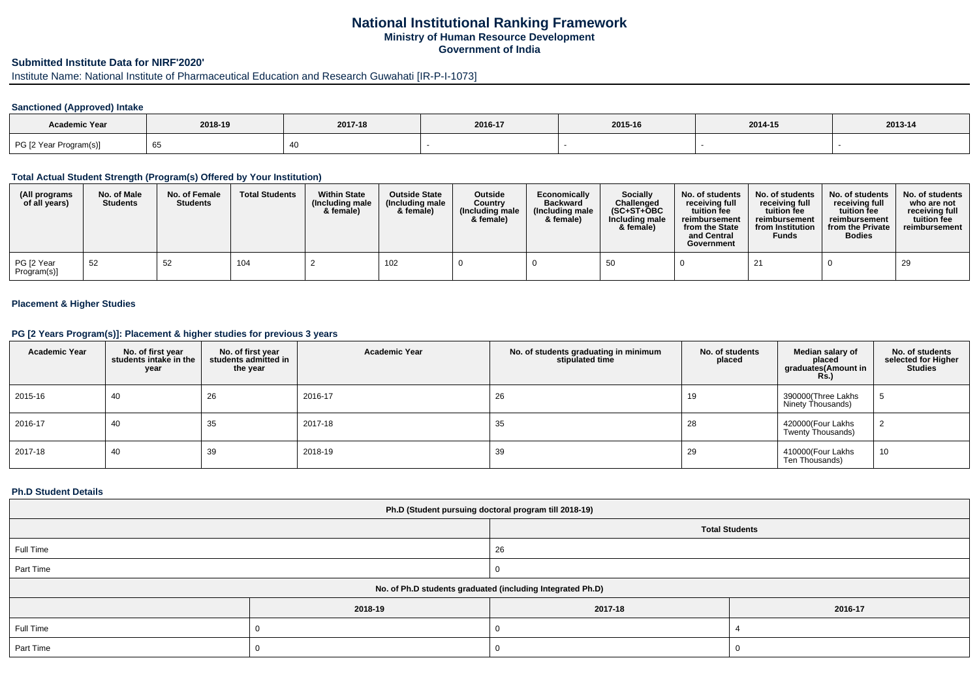# **National Institutional Ranking FrameworkMinistry of Human Resource DevelopmentGovernment of India**

# **Submitted Institute Data for NIRF'2020'**

Institute Name: National Institute of Pharmaceutical Education and Research Guwahati [IR-P-I-1073]

## **Sanctioned (Approved) Intake**

| <b>Academic Year</b>   | 2018-19 | 2017-18 | 2016-17 | 2015-16 | 2014-15 | 2013-14 |
|------------------------|---------|---------|---------|---------|---------|---------|
| PG [2 Year Program(s)] | 65      |         |         |         |         |         |

### **Total Actual Student Strength (Program(s) Offered by Your Institution)**

| (All programs<br>of all years) | No. of Male<br><b>Students</b> | No. of Female<br><b>Students</b> | <b>Total Students</b> | <b>Within State</b><br>(Including male<br>& female) | <b>Outside State</b><br>(Including male<br>& female) | Outside<br>Country<br>(Including male)<br>& female) | Economically<br><b>Backward</b><br>(Including male<br>& female) | <b>Socially</b><br>Challenged<br>$(SC+ST+OBC)$<br>Including male<br>& female) | No. of students<br>receivina full<br>tuition fee<br>reimbursement<br>from the State<br>and Central<br>Government | No. of students<br>receiving full<br>tuition fee<br>reimbursement<br>from Institution<br><b>Funds</b> | No. of students<br>receivina full<br>tuition fee<br>reimbursement<br>from the Private<br><b>Bodies</b> | No. of students  <br>who are not<br>receiving full<br>tuition fee<br>reimbursement |
|--------------------------------|--------------------------------|----------------------------------|-----------------------|-----------------------------------------------------|------------------------------------------------------|-----------------------------------------------------|-----------------------------------------------------------------|-------------------------------------------------------------------------------|------------------------------------------------------------------------------------------------------------------|-------------------------------------------------------------------------------------------------------|--------------------------------------------------------------------------------------------------------|------------------------------------------------------------------------------------|
| PG [2 Year<br>Program(s)]      | -52                            | 52                               | 104                   |                                                     | 102                                                  |                                                     |                                                                 | 50                                                                            |                                                                                                                  | 21                                                                                                    |                                                                                                        | 29                                                                                 |

#### **Placement & Higher Studies**

### **PG [2 Years Program(s)]: Placement & higher studies for previous 3 years**

| <b>Academic Year</b> | No. of first year<br>students intake in the<br>year | No. of first vear<br>students admitted in<br>the year | <b>Academic Year</b> | No. of students graduating in minimum<br>stipulated time | No. of students<br>placed | Median salary of<br>placed<br>graduates(Amount in<br>Rs.) | No. of students<br>selected for Higher<br><b>Studies</b> |
|----------------------|-----------------------------------------------------|-------------------------------------------------------|----------------------|----------------------------------------------------------|---------------------------|-----------------------------------------------------------|----------------------------------------------------------|
| 2015-16              | 40                                                  | 26                                                    | 2016-17              | 26                                                       | 19                        | 390000(Three Lakhs<br>Ninety Thousands)                   |                                                          |
| 2016-17              | 40                                                  | 35                                                    | 2017-18              | 35                                                       | 28                        | 420000(Four Lakhs<br>Twenty Thousands)                    |                                                          |
| 2017-18              | 40                                                  | 39                                                    | 2018-19              | 39                                                       | 29                        | 410000(Four Lakhs<br>Ten Thousands)                       | 10                                                       |

#### **Ph.D Student Details**

| Ph.D (Student pursuing doctoral program till 2018-19)      |         |         |                       |  |  |
|------------------------------------------------------------|---------|---------|-----------------------|--|--|
|                                                            |         |         | <b>Total Students</b> |  |  |
| Full Time                                                  |         | 26      |                       |  |  |
| Part Time                                                  |         |         |                       |  |  |
| No. of Ph.D students graduated (including Integrated Ph.D) |         |         |                       |  |  |
|                                                            | 2018-19 | 2017-18 | 2016-17               |  |  |
| Full Time                                                  |         |         |                       |  |  |
| Part Time                                                  |         |         |                       |  |  |